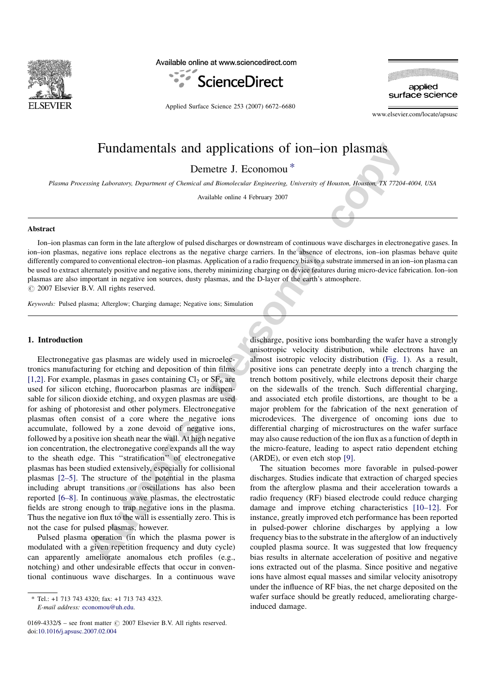

Available online at www.sciencedirect.com



applied surface science

Applied Surface Science 253 (2007) 6672–6680

www.elsevier.com/locate/apsusc

# Fundamentals and applications of ion–ion plasmas

Demetre J. Economou \*

Plasma Processing Laboratory, Department of Chemical and Biomolecular Engineering, University of Houston, Houston, TX 77204-4004, USA

Available online 4 February 2007

## Abstract

Ion–ion plasmas can form in the late afterglow of pulsed discharges or downstream of continuous wave discharges in electronegative gases. In ion–ion plasmas, negative ions replace electrons as the negative charge carriers. In the absence of electrons, ion–ion plasmas behave quite differently compared to conventional electron–ion plasmas. Application of a radio frequency bias to a substrate immersed in an ion–ion plasma can be used to extract alternately positive and negative ions, thereby minimizing charging on device features during micro-device fabrication. Ion–ion plasmas are also important in negative ion sources, dusty plasmas, and the D-layer of the earth's atmosphere.  $\odot$  2007 Elsevier B.V. All rights reserved.

Keywords: Pulsed plasma; Afterglow; Charging damage; Negative ions; Simulation

# 1. Introduction

**Fundamentals and applications of ion-ion plasmass<br>
Demetre J. Economou<sup>\*</sup><br>
Analog** *Labonary, Department of Chomical and Burmical-and Fingurering. University of Hundom Fractions T2203-4<br>
Analog coline 4 relevancy 2007<br>
Ana* Electronegative gas plasmas are widely used in microelectronics manufacturing for etching and deposition of thin films [1,2]. For example, plasmas in gases containing  $Cl_2$  or  $SF_6$  are used for silicon etching, fluorocarbon plasmas are indispensable for silicon dioxide etching, and oxygen plasmas are used for ashing of photoresist and other polymers. Electronegative plasmas often consist of a core where the negative ions accumulate, followed by a zone devoid of negative ions, followed by a positive ion sheath near the wall. At high negative ion concentration, the electronegative core expands all the way to the sheath edge. This ''stratification'' of electronegative plasmas has been studied extensively, especially for collisional plasmas [2–5]. The structure of the potential in the plasma including abrupt transitions or oscillations has also been reported [6–8]. In continuous wave plasmas, the electrostatic fields are strong enough to trap negative ions in the plasma. Thus the negative ion flux to the wall is essentially zero. This is not the case for pulsed plasmas, however.

Pulsed plasma operation (in which the plasma power is modulated with a given repetition frequency and duty cycle) can apparently ameliorate anomalous etch profiles (e.g., notching) and other undesirable effects that occur in conventional continuous wave discharges. In a continuous wave discharge, positive ions bombarding the wafer have a strongly anisotropic velocity distribution, while electrons have an almost isotropic velocity distribution (Fig. 1). As a result, positive ions can penetrate deeply into a trench charging the trench bottom positively, while electrons deposit their charge on the sidewalls of the trench. Such differential charging, and associated etch profile distortions, are thought to be a major problem for the fabrication of the next generation of microdevices. The divergence of oncoming ions due to differential charging of microstructures on the wafer surface may also cause reduction of the ion flux as a function of depth in the micro-feature, leading to aspect ratio dependent etching (ARDE), or even etch stop [9].

The situation becomes more favorable in pulsed-power discharges. Studies indicate that extraction of charged species from the afterglow plasma and their acceleration towards a radio frequency (RF) biased electrode could reduce charging damage and improve etching characteristics [10–12]. For instance, greatly improved etch performance has been reported in pulsed-power chlorine discharges by applying a low frequency bias to the substrate in the afterglow of an inductively coupled plasma source. It was suggested that low frequency bias results in alternate acceleration of positive and negative ions extracted out of the plasma. Since positive and negative ions have almost equal masses and similar velocity anisotropy under the influence of RF bias, the net charge deposited on the wafer surface should be greatly reduced, ameliorating chargeinduced damage.

<sup>\*</sup> Tel.: +1 713 743 4320; fax: +1 713 743 4323. E-mail address: economou@uh.edu.

<sup>0169-4332/\$ –</sup> see front matter  $\odot$  2007 Elsevier B.V. All rights reserved. doi:10.1016/j.apsusc.2007.02.004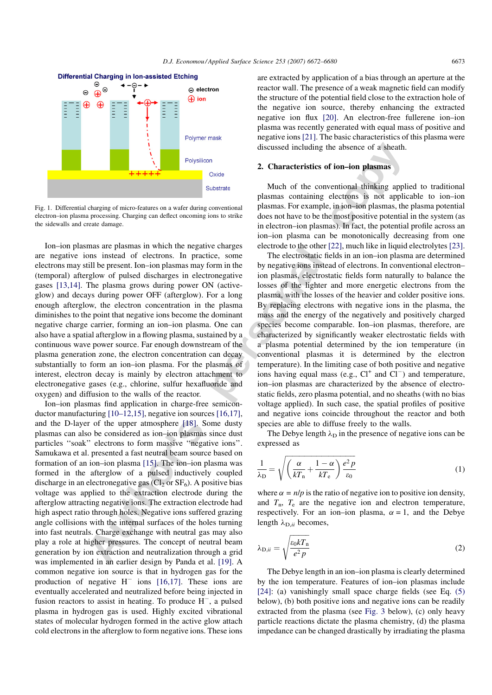

Fig. 1. Differential charging of micro-features on a wafer during conventional electron–ion plasma processing. Charging can deflect oncoming ions to strike the sidewalls and create damage.

Ion–ion plasmas are plasmas in which the negative charges are negative ions instead of electrons. In practice, some electrons may still be present. Ion–ion plasmas may form in the (temporal) afterglow of pulsed discharges in electronegative gases [13,14]. The plasma grows during power ON (activeglow) and decays during power OFF (afterglow). For a long enough afterglow, the electron concentration in the plasma diminishes to the point that negative ions become the dominant negative charge carrier, forming an ion–ion plasma. One can also have a spatial afterglow in a flowing plasma, sustained by a continuous wave power source. Far enough downstream of the plasma generation zone, the electron concentration can decay substantially to form an ion–ion plasma. For the plasmas of interest, electron decay is mainly by electron attachment to electronegative gases (e.g., chlorine, sulfur hexafluoride and oxygen) and diffusion to the walls of the reactor.

Ion–ion plasmas find application in charge-free semiconductor manufacturing [10–12,15], negative ion sources [16,17], and the D-layer of the upper atmosphere [18]. Some dusty plasmas can also be considered as ion–ion plasmas since dust particles ''soak'' electrons to form massive ''negative ions''. Samukawa et al. presented a fast neutral beam source based on formation of an ion–ion plasma [15]. The ion–ion plasma was formed in the afterglow of a pulsed inductively coupled discharge in an electronegative gas  $(Cl<sub>2</sub>$  or  $SF<sub>6</sub>)$ . A positive bias voltage was applied to the extraction electrode during the afterglow attracting negative ions. The extraction electrode had high aspect ratio through holes. Negative ions suffered grazing angle collisions with the internal surfaces of the holes turning into fast neutrals. Charge exchange with neutral gas may also play a role at higher pressures. The concept of neutral beam generation by ion extraction and neutralization through a grid was implemented in an earlier design by Panda et al. [19]. A common negative ion source is that in hydrogen gas for the production of negative  $H^-$  ions [16,17]. These ions are eventually accelerated and neutralized before being injected in fusion reactors to assist in heating. To produce  $H^-$ , a pulsed plasma in hydrogen gas is used. Highly excited vibrational states of molecular hydrogen formed in the active glow attach cold electrons in the afterglow to form negative ions. These ions are extracted by application of a bias through an aperture at the reactor wall. The presence of a weak magnetic field can modify the structure of the potential field close to the extraction hole of the negative ion source, thereby enhancing the extracted negative ion flux [20]. An electron-free fullerene ion–ion plasma was recently generated with equal mass of positive and negative ions [21]. The basic characteristics of this plasma were discussed including the absence of a sheath.

# 2. Characteristics of ion–ion plasmas

Much of the conventional thinking applied to traditional plasmas containing electrons is not applicable to ion–ion plasmas. For example, in ion–ion plasmas, the plasma potential does not have to be the most positive potential in the system (as in electron–ion plasmas). In fact, the potential profile across an ion–ion plasma can be monotonically decreasing from one electrode to the other [22], much like in liquid electrolytes [23].

**Automative controllering** the discussed including the absence of a sheafully<br> **Automative controllering** conducts<br>
And  $\frac{1}{2}$  costs<br>
And  $\frac{1}{2}$  costs<br>
And  $\frac{1}{2}$  costs<br>
And  $\frac{1}{2}$  costs<br>
And  $\frac{1}{2}$  costs<br> The electrostatic fields in an ion–ion plasma are determined by negative ions instead of electrons. In conventional electron– ion plasmas, electrostatic fields form naturally to balance the losses of the lighter and more energetic electrons from the plasma, with the losses of the heavier and colder positive ions. By replacing electrons with negative ions in the plasma, the mass and the energy of the negatively and positively charged species become comparable. Ion–ion plasmas, therefore, are characterized by significantly weaker electrostatic fields with a plasma potential determined by the ion temperature (in conventional plasmas it is determined by the electron temperature). In the limiting case of both positive and negative ions having equal mass (e.g.,  $Cl^+$  and  $Cl^-$ ) and temperature, ion–ion plasmas are characterized by the absence of electrostatic fields, zero plasma potential, and no sheaths (with no bias voltage applied). In such case, the spatial profiles of positive and negative ions coincide throughout the reactor and both species are able to diffuse freely to the walls.

The Debye length  $\lambda_D$  in the presence of negative ions can be expressed as

$$
\frac{1}{\lambda_{\rm D}} = \sqrt{\left(\frac{\alpha}{kT_{\rm n}} + \frac{1-\alpha}{kT_{\rm e}}\right)\frac{e^2p}{\varepsilon_0}}
$$
(1)

where  $\alpha = n/p$  is the ratio of negative ion to positive ion density, and  $T_n$ ,  $T_e$  are the negative ion and electron temperature, respectively. For an ion–ion plasma,  $\alpha = 1$ , and the Debye length  $\lambda_{\text{D},ii}$  becomes,

$$
\lambda_{\text{D},ii} = \sqrt{\frac{\varepsilon_0 k T_\text{n}}{e^2 p}}
$$
 (2)

The Debye length in an ion–ion plasma is clearly determined by the ion temperature. Features of ion–ion plasmas include [24]: (a) vanishingly small space charge fields (see Eq. (5) below), (b) both positive ions and negative ions can be readily extracted from the plasma (see Fig. 3 below), (c) only heavy particle reactions dictate the plasma chemistry, (d) the plasma impedance can be changed drastically by irradiating the plasma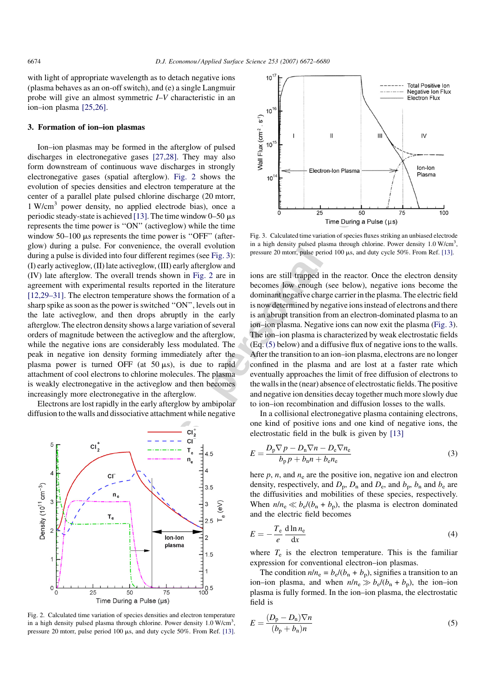with light of appropriate wavelength as to detach negative ions (plasma behaves as an on-off switch), and (e) a single Langmuir probe will give an almost symmetric I–V characteristic in an ion–ion plasma [25,26].

## 3. Formation of ion–ion plasmas

**As may** be formulate a detection of published  $\theta$  between the activative during in structure and the strength of published into the strength of the strength of the strength of the strength of the strength of the strengt Ion–ion plasmas may be formed in the afterglow of pulsed discharges in electronegative gases [27,28]. They may also form downstream of continuous wave discharges in strongly electronegative gases (spatial afterglow). Fig. 2 shows the evolution of species densities and electron temperature at the center of a parallel plate pulsed chlorine discharge (20 mtorr, 1 W/cm3 power density, no applied electrode bias), once a periodic steady-state is achieved [13]. The time window 0–50  $\mu$ s represents the time power is ''ON'' (activeglow) while the time window  $50-100$   $\mu$ s represents the time power is "OFF" (afterglow) during a pulse. For convenience, the overall evolution during a pulse is divided into four different regimes (see Fig. 3): (I) early activeglow, (II) late activeglow, (III) early afterglow and (IV) late afterglow. The overall trends shown in Fig. 2 are in agreement with experimental results reported in the literature [12,29–31]. The electron temperature shows the formation of a sharp spike as soon as the power is switched ''ON'', levels out in the late activeglow, and then drops abruptly in the early afterglow. The electron density shows a large variation of several orders of magnitude between the activeglow and the afterglow, while the negative ions are considerably less modulated. The peak in negative ion density forming immediately after the plasma power is turned OFF (at  $50 \mu s$ ), is due to rapid attachment of cool electrons to chlorine molecules. The plasma is weakly electronegative in the activeglow and then becomes increasingly more electronegative in the afterglow.

Electrons are lost rapidly in the early afterglow by ambipolar diffusion to the walls and dissociative attachment while negative



Fig. 2. Calculated time variation of species densities and electron temperature in a high density pulsed plasma through chlorine. Power density  $1.0 \text{ W/cm}^3$ , pressure 20 mtorr, pulse period 100  $\mu$ s, and duty cycle 50%. From Ref. [13].



Fig. 3. Calculated time variation of species fluxes striking an unbiased electrode in a high density pulsed plasma through chlorine. Power density 1.0 W/cm<sup>3</sup>, pressure 20 mtorr, pulse period 100  $\mu$ s, and duty cycle 50%. From Ref. [13].

ions are still trapped in the reactor. Once the electron density becomes low enough (see below), negative ions become the dominant negative charge carrier in the plasma. The electric field is now determined by negative ions instead of electrons and there is an abrupt transition from an electron-dominated plasma to an ion–ion plasma. Negative ions can now exit the plasma (Fig. 3). The ion–ion plasma is characterized by weak electrostatic fields (Eq. (5) below) and a diffusive flux of negative ions to the walls. After the transition to an ion–ion plasma, electrons are no longer confined in the plasma and are lost at a faster rate which eventually approaches the limit of free diffusion of electrons to the walls in the (near) absence of electrostatic fields. The positive and negative ion densities decay together much more slowly due to ion–ion recombination and diffusion losses to the walls.

In a collisional electronegative plasma containing electrons, one kind of positive ions and one kind of negative ions, the electrostatic field in the bulk is given by [13]

$$
E = \frac{D_{\rm p} \nabla p - D_{\rm n} \nabla n - D_{\rm e} \nabla n_{\rm e}}{b_{\rm p} p + b_{\rm n} n + b_{\rm e} n_{\rm e}}\tag{3}
$$

here  $p$ ,  $n$ , and  $n_e$  are the positive ion, negative ion and electron density, respectively, and  $D_p$ ,  $D_n$  and  $D_e$ , and  $b_p$ ,  $b_n$  and  $b_e$  are the diffusivities and mobilities of these species, respectively. When  $n/n_e \ll b_e/(b_n + b_n)$ , the plasma is electron dominated and the electric field becomes

$$
E = -\frac{T_e}{e} \frac{d \ln n_e}{dx} \tag{4}
$$

where  $T_e$  is the electron temperature. This is the familiar expression for conventional electron–ion plasmas.

The condition  $n/n_e = b_e/(b_n + b_p)$ , signifies a transition to an ion–ion plasma, and when  $n/n_e \gg b_e/(b_n + b_p)$ , the ion–ion plasma is fully formed. In the ion–ion plasma, the electrostatic field is

$$
E = \frac{(D_{\rm p} - D_{\rm n})\nabla n}{(b_{\rm p} + b_{\rm n})n}
$$
\n(5)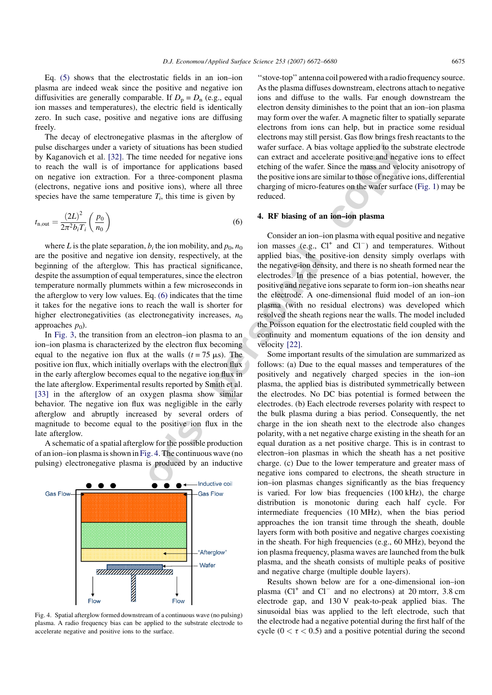Eq. (5) shows that the electrostatic fields in an ion–ion plasma are indeed weak since the positive and negative ion diffusivities are generally comparable. If  $D_p = D_n$  (e.g., equal ion masses and temperatures), the electric field is identically zero. In such case, positive and negative ions are diffusing freely.

The decay of electronegative plasmas in the afterglow of pulse discharges under a variety of situations has been studied by Kaganovich et al. [32]. The time needed for negative ions to reach the wall is of importance for applications based on negative ion extraction. For a three-component plasma (electrons, negative ions and positive ions), where all three species have the same temperature  $T_i$ , this time is given by

$$
t_{\text{n,out}} = \frac{\left(2L\right)^2}{2\pi^2 b_i T_i} \left(\frac{p_0}{n_0}\right) \tag{6}
$$

where L is the plate separation,  $b_i$  the ion mobility, and  $p_0$ ,  $n_0$ are the positive and negative ion density, respectively, at the beginning of the afterglow. This has practical significance, despite the assumption of equal temperatures, since the electron temperature normally plummets within a few microseconds in the afterglow to very low values. Eq. (6) indicates that the time it takes for the negative ions to reach the wall is shorter for higher electronegativities (as electronegativity increases,  $n_0$ approaches  $p_0$ ).

In Fig. 3, the transition from an electron–ion plasma to an ion–ion plasma is characterized by the electron flux becoming equal to the negative ion flux at the walls  $(t = 75 \text{ }\mu\text{s})$ . The positive ion flux, which initially overlaps with the electron flux in the early afterglow becomes equal to the negative ion flux in the late afterglow. Experimental results reported by Smith et al. [33] in the afterglow of an oxygen plasma show similar behavior. The negative ion flux was negligible in the early afterglow and abruptly increased by several orders of magnitude to become equal to the positive ion flux in the late afterglow.

A schematic of a spatial afterglow for the possible production of an ion–ion plasma is shown in Fig. 4. The continuous wave (no pulsing) electronegative plasma is produced by an inductive



Fig. 4. Spatial afterglow formed downstream of a continuous wave (no pulsing) plasma. A radio frequency bias can be applied to the substrate electrode to accelerate negative and positive ions to the surface.

''stove-top'' antenna coil powered with a radio frequency source. As the plasma diffuses downstream, electrons attach to negative ions and diffuse to the walls. Far enough downstream the electron density diminishes to the point that an ion–ion plasma may form over the wafer. A magnetic filter to spatially separate electrons from ions can help, but in practice some residual electrons may still persist. Gas flow brings fresh reactants to the wafer surface. A bias voltage applied to the substrate electrode can extract and accelerate positive and negative ions to effect etching of the wafer. Since the mass and velocity anisotropy of the positive ions are similar to those of negative ions, differential charging of micro-features on the wafer surface (Fig. 1) may be reduced.

#### 4. RF biasing of an ion–ion plasma

Consider an ion–ion plasma with equal positive and negative ion masses (e.g., Cl<sup>+</sup> and Cl<sup>-</sup>) and temperatures. Without applied bias, the positive-ion density simply overlaps with the negative-ion density, and there is no sheath formed near the electrodes. In the presence of a bias potential, however, the positive and negative ions separate to form ion–ion sheaths near the electrode. A one-dimensional fluid model of an ion–ion plasma (with no residual electrons) was developed which resolved the sheath regions near the walls. The model included the Poisson equation for the electrostatic field coupled with the continuity and momentum equations of the ion density and velocity [22].

**Solution** of equal temperatures has been studied with such solutions and equal variable and the personal content and accelerate positive and negative in the minimum based and velocity of the such and input in of impurime Some important results of the simulation are summarized as follows: (a) Due to the equal masses and temperatures of the positively and negatively charged species in the ion–ion plasma, the applied bias is distributed symmetrically between the electrodes. No DC bias potential is formed between the electrodes. (b) Each electrode reverses polarity with respect to the bulk plasma during a bias period. Consequently, the net charge in the ion sheath next to the electrode also changes polarity, with a net negative charge existing in the sheath for an equal duration as a net positive charge. This is in contrast to electron–ion plasmas in which the sheath has a net positive charge. (c) Due to the lower temperature and greater mass of negative ions compared to electrons, the sheath structure in ion–ion plasmas changes significantly as the bias frequency is varied. For low bias frequencies (100 kHz), the charge distribution is monotonic during each half cycle. For intermediate frequencies (10 MHz), when the bias period approaches the ion transit time through the sheath, double layers form with both positive and negative charges coexisting in the sheath. For high frequencies (e.g., 60 MHz), beyond the ion plasma frequency, plasma waves are launched from the bulk plasma, and the sheath consists of multiple peaks of positive and negative charge (multiple double layers).

> Results shown below are for a one-dimensional ion–ion plasma  $(Cl^+$  and  $Cl^-$  and no electrons) at 20 mtorr, 3.8 cm electrode gap, and 130 V peak-to-peak applied bias. The sinusoidal bias was applied to the left electrode, such that the electrode had a negative potential during the first half of the cycle  $(0 < \tau < 0.5)$  and a positive potential during the second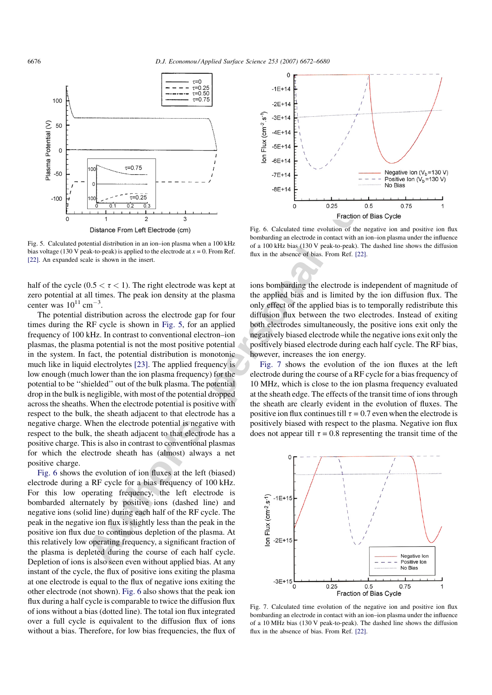

Fig. 5. Calculated potential distribution in an ion–ion plasma when a 100 kHz bias voltage (130 V peak-to-peak) is applied to the electrode at  $x = 0$ . From Ref. [22]. An expanded scale is shown in the insert.

half of the cycle  $(0.5 < \tau < 1)$ . The right electrode was kept at zero potential at all times. The peak ion density at the plasma center was  $10^{11}$  cm<sup>-3</sup>.

**Automative Control of the specific specific specific specific specific specific specific specific specific specific specific specific specific specific specific specific specific specific specific specific specific speci** The potential distribution across the electrode gap for four times during the RF cycle is shown in Fig. 5, for an applied frequency of 100 kHz. In contrast to conventional electron–ion plasmas, the plasma potential is not the most positive potential in the system. In fact, the potential distribution is monotonic much like in liquid electrolytes [23]. The applied frequency is low enough (much lower than the ion plasma frequency) for the potential to be ''shielded'' out of the bulk plasma. The potential drop in the bulk is negligible, with most of the potential dropped across the sheaths. When the electrode potential is positive with respect to the bulk, the sheath adjacent to that electrode has a negative charge. When the electrode potential is negative with respect to the bulk, the sheath adjacent to that electrode has a positive charge. This is also in contrast to conventional plasmas for which the electrode sheath has (almost) always a net positive charge.

Fig. 6 shows the evolution of ion fluxes at the left (biased) electrode during a RF cycle for a bias frequency of 100 kHz. For this low operating frequency, the left electrode is bombarded alternately by positive ions (dashed line) and negative ions (solid line) during each half of the RF cycle. The peak in the negative ion flux is slightly less than the peak in the positive ion flux due to continuous depletion of the plasma. At this relatively low operating frequency, a significant fraction of the plasma is depleted during the course of each half cycle. Depletion of ions is also seen even without applied bias. At any instant of the cycle, the flux of positive ions exiting the plasma at one electrode is equal to the flux of negative ions exiting the other electrode (not shown). Fig. 6 also shows that the peak ion flux during a half cycle is comparable to twice the diffusion flux of ions without a bias (dotted line). The total ion flux integrated over a full cycle is equivalent to the diffusion flux of ions without a bias. Therefore, for low bias frequencies, the flux of



Fig. 6. Calculated time evolution of the negative ion and positive ion flux bombarding an electrode in contact with an ion–ion plasma under the influence of a 100 kHz bias (130 V peak-to-peak). The dashed line shows the diffusion flux in the absence of bias. From Ref. [22].

ions bombarding the electrode is independent of magnitude of the applied bias and is limited by the ion diffusion flux. The only effect of the applied bias is to temporally redistribute this diffusion flux between the two electrodes. Instead of exiting both electrodes simultaneously, the positive ions exit only the negatively biased electrode while the negative ions exit only the positively biased electrode during each half cycle. The RF bias, however, increases the ion energy.

Fig. 7 shows the evolution of the ion fluxes at the left electrode during the course of a RF cycle for a bias frequency of 10 MHz, which is close to the ion plasma frequency evaluated at the sheath edge. The effects of the transit time of ions through the sheath are clearly evident in the evolution of fluxes. The positive ion flux continues till  $\tau = 0.7$  even when the electrode is positively biased with respect to the plasma. Negative ion flux does not appear till  $\tau = 0.8$  representing the transit time of the



Fig. 7. Calculated time evolution of the negative ion and positive ion flux bombarding an electrode in contact with an ion–ion plasma under the influence of a 10 MHz bias (130 V peak-to-peak). The dashed line shows the diffusion flux in the absence of bias. From Ref. [22].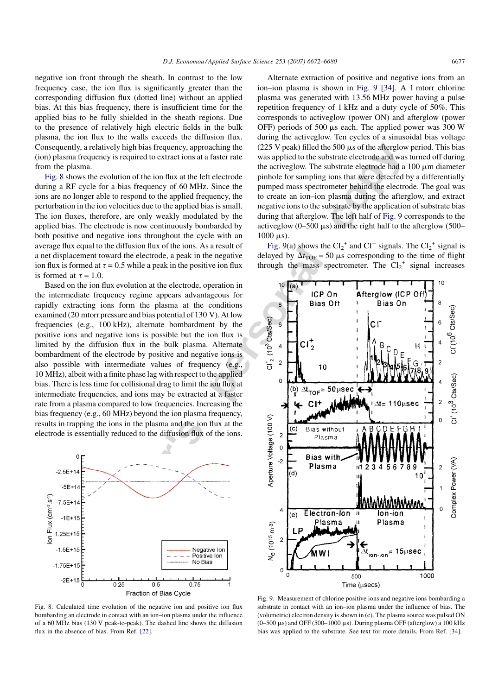negative ion front through the sheath. In contrast to the low frequency case, the ion flux is significantly greater than the corresponding diffusion flux (dotted line) without an applied bias. At this bias frequency, there is insufficient time for the applied bias to be fully shielded in the sheath regions. Due to the presence of relatively high electric fields in the bulk plasma, the ion flux to the walls exceeds the diffusion flux. Consequently, a relatively high bias frequency, approaching the (ion) plasma frequency is required to extract ions at a faster rate from the plasma.

Fig. 8 shows the evolution of the ion flux at the left electrode during a RF cycle for a bias frequency of 60 MHz. Since the ions are no longer able to respond to the applied frequency, the perturbation in the ion velocities due to the applied bias is small. The ion fluxes, therefore, are only weakly modulated by the applied bias. The electrode is now continuously bombarded by both positive and negative ions throughout the cycle with an average flux equal to the diffusion flux of the ions. As a result of a net displacement toward the electrode, a peak in the negative ion flux is formed at  $\tau = 0.5$  while a peak in the positive ion flux is formed at  $\tau = 1.0$ .

Based on the ion flux evolution at the electrode, operation in the intermediate frequency regime appears advantageous for rapidly extracting ions form the plasma at the conditions examined (20 mtorr pressure and bias potential of 130 V). At low frequencies (e.g., 100 kHz), alternate bombardment by the positive ions and negative ions is possible but the ion flux is limited by the diffusion flux in the bulk plasma. Alternate bombardment of the electrode by positive and negative ions is also possible with intermediate values of frequency (e.g., 10 MHz), albeit with a finite phase lag with respect to the applied bias. There is less time for collisional drag to limit the ion flux at intermediate frequencies, and ions may be extracted at a faster rate from a plasma compared to low frequencies. Increasing the bias frequency (e.g., 60 MHz) beyond the ion plasma frequency, results in trapping the ions in the plasma and the ion flux at the electrode is essentially reduced to the diffusion flux of the ions.



Fig. 8. Calculated time evolution of the negative ion and positive ion flux bombarding an electrode in contact with an ion–ion plasma under the influence of a 60 MHz bias (130 V peak-to-peak). The dashed line shows the diffusion flux in the absence of bias. From Ref. [22].

Alternate extraction of positive and negative ions from an ion–ion plasma is shown in Fig. 9 [34]. A 1 mtorr chlorine plasma was generated with 13.56 MHz power having a pulse repetition frequency of 1 kHz and a duty cycle of 50%. This corresponds to activeglow (power ON) and afterglow (power OFF) periods of 500  $\mu$ s each. The applied power was 300 W during the activeglow. Ten cycles of a sinusoidal bias voltage (225 V peak) filled the 500  $\mu$ s of the afterglow period. This bias was applied to the substrate electrode and was turned off during the activeglow. The substrate electrode had a  $100 \mu m$  diameter pinhole for sampling ions that were detected by a differentially pumped mass spectrometer behind the electrode. The goal was to create an ion–ion plasma during the afterglow, and extract negative ions to the substrate by the application of substrate bias during that afterglow. The left half of Fig. 9 corresponds to the activeglow  $(0-500 \mu s)$  and the right half to the afterglow  $(500 1000 \mu s$ ).

Fig. 9(a) shows the  $Cl_2^+$  and  $Cl^-$  signals. The  $Cl_2^+$  signal is delayed by  $\overline{\Delta t_{\text{TOF}}}$  = 50 µs corresponding to the time of flight through the mass spectrometer. The  $Cl_2^+$  signal increases



Fig. 9. Measurement of chlorine positive ions and negative ions bombarding a substrate in contact with an ion–ion plasma under the influence of bias. The (volumetric) electron density is shown in (e). The plasma source was pulsed ON  $(0-500 \mu s)$  and OFF (500–1000  $\mu s$ ). During plasma OFF (afterglow) a 100 kHz bias was applied to the substrate. See text for more details. From Ref. [34].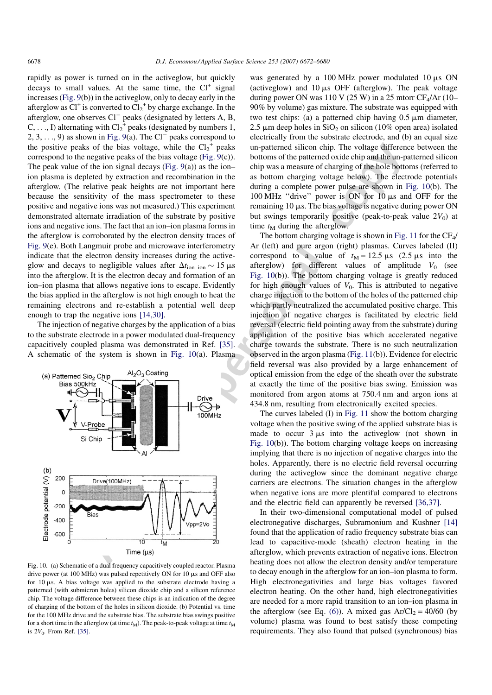rapidly as power is turned on in the activeglow, but quickly decays to small values. At the same time, the  $Cl<sup>+</sup>$  signal increases (Fig. 9(b)) in the activeglow, only to decay early in the afterglow as  $Cl^+$  is converted to  $Cl_2^+$  by charge exchange. In the afterglow, one observes  $Cl^-$  peaks (designated by letters A, B, C, ..., I) alternating with  $Cl_2^{\dagger}$  peaks (designated by numbers 1, 2, 3, ..., 9) as shown in Fig. 9(a). The  $Cl^{-}$  peaks correspond to the positive peaks of the bias voltage, while the  $Cl_2^{\dagger}$  peaks correspond to the negative peaks of the bias voltage (Fig. 9(c)). The peak value of the ion signal decays (Fig. 9(a)) as the ion– ion plasma is depleted by extraction and recombination in the afterglow. (The relative peak heights are not important here because the sensitivity of the mass spectrometer to these positive and negative ions was not measured.) This experiment demonstrated alternate irradiation of the substrate by positive ions and negative ions. The fact that an ion–ion plasma forms in the afterglow is corroborated by the electron density traces of Fig. 9(e). Both Langmuir probe and microwave interferometry indicate that the electron density increases during the activeglow and decays to negligible values after  $\Delta t_{\text{ion-ion}} \sim 15 \mu s$ into the afterglow. It is the electron decay and formation of an ion–ion plasma that allows negative ions to escape. Evidently the bias applied in the afterglow is not high enough to heat the remaining electrons and re-establish a potential well deep enough to trap the negative ions [14,30].

The injection of negative charges by the application of a bias to the substrate electrode in a power modulated dual-frequency capacitively coupled plasma was demonstrated in Ref. [35]. A schematic of the system is shown in Fig. 10(a). Plasma



Fig. 10. (a) Schematic of a dual frequency capacitively coupled reactor. Plasma drive power (at  $100$  MHz) was pulsed repetitively ON for  $10 \mu s$  and OFF also for 10 ms. A bias voltage was applied to the substrate electrode having a patterned (with submicron holes) silicon dioxide chip and a silicon reference chip. The voltage difference between these chips is an indication of the degree of charging of the bottom of the holes in silicon dioxide. (b) Potential vs. time for the 100 MHz drive and the substrate bias. The substrate bias swings positive for a short time in the afterglow (at time  $t_M$ ). The peak-to-peak voltage at time  $t_M$ is  $2V_0$ . From Ref. [35].

was generated by a 100 MHz power modulated 10  $\mu$ s ON (activeglow) and 10  $\mu$ s OFF (afterglow). The peak voltage during power ON was 110 V (25 W) in a 25 mtorr  $CF_4/Ar$  (10– 90% by volume) gas mixture. The substrate was equipped with two test chips: (a) a patterned chip having  $0.5 \mu m$  diameter, 2.5  $\mu$ m deep holes in SiO<sub>2</sub> on silicon (10% open area) isolated electrically from the substrate electrode, and (b) an equal size un-patterned silicon chip. The voltage difference between the bottoms of the patterned oxide chip and the un-patterned silicon chip was a measure of charging of the hole bottoms (referred to as bottom charging voltage below). The electrode potentials during a complete power pulse are shown in Fig. 10(b). The 100 MHz "drive" power is  $ON$  for 10  $\mu$ s and OFF for the remaining  $10 \mu s$ . The bias voltage is negative during power ON but swings temporarily positive (peak-to-peak value  $2V_0$ ) at time  $t_M$  during the afterglow.

The bottom charging voltage is shown in Fig. 11 for the  $CF_4/$ Ar (left) and pure argon (right) plasmas. Curves labeled (II) correspond to a value of  $t_M = 12.5 \text{ }\mu\text{s}$  (2.5  $\mu\text{s}$  into the afterglow) for different values of amplitude  $V_0$  (see Fig. 10(b)). The bottom charging voltage is greatly reduced for high enough values of  $V_0$ . This is attributed to negative charge injection to the bottom of the holes of the patterned chip which partly neutralized the accumulated positive charge. This injection of negative charges is facilitated by electric field reversal (electric field pointing away from the substrate) during application of the positive bias which accelerated negative charge towards the substrate. There is no such neutralization observed in the argon plasma (Fig. 11(b)). Evidence for electric field reversal was also provided by a large enhancement of optical emission from the edge of the sheath over the substrate at exactly the time of the positive bias swing. Emission was monitored from argon atoms at 750.4 nm and argon ions at 434.8 nm, resulting from electronically excited species.

The curves labeled (I) in Fig. 11 show the bottom charging voltage when the positive swing of the applied substrate bias is made to occur  $3 \mu s$  into the activeglow (not shown in Fig. 10(b)). The bottom charging voltage keeps on increasing implying that there is no injection of negative charges into the holes. Apparently, there is no electric field reversal occurring during the activeglow since the dominant negative charge carriers are electrons. The situation changes in the afterglow when negative ions are more plentiful compared to electrons and the electric field can apparently be reversed [36,37].

In their two-dimensional computational model of pulsed electronegative discharges, Subramonium and Kushner [14] found that the application of radio frequency substrate bias can lead to capacitive-mode (sheath) electron heating in the afterglow, which prevents extraction of negative ions. Electron heating does not allow the electron density and/or temperature to decay enough in the afterglow for an ion–ion plasma to form. High electronegativities and large bias voltages favored electron heating. On the other hand, high electronegativities are needed for a more rapid transition to an ion–ion plasma in the afterglow (see Eq. (6)). A mixed gas  $Ar/Cl_2 = 40/60$  (by volume) plasma was found to best satisfy these competing requirements. They also found that pulsed (synchronous) bias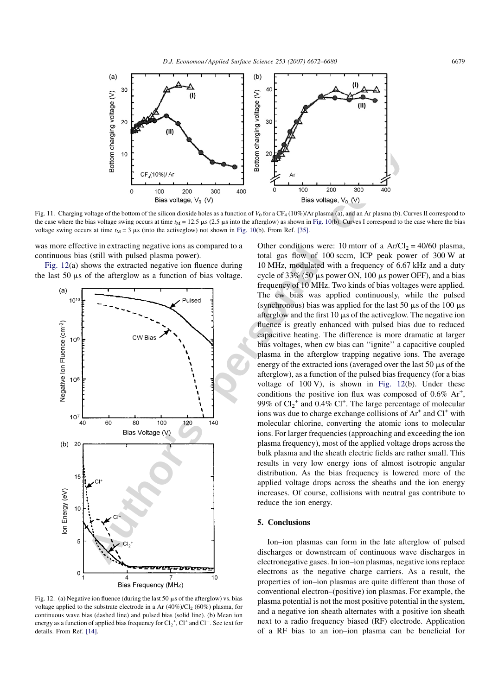

Fig. 11. Charging voltage of the bottom of the silicon dioxide holes as a function of  $V_0$  for a CF<sub>4</sub> (10%)/Ar plasma (a), and an Ar plasma (b). Curves II correspond to the case where the bias voltage swing occurs at time  $t_M = 12.5 \mu s$  (2.5  $\mu s$  into the afterglow) as shown in Fig. 10(b). Curves I correspond to the case where the bias voltage swing occurs at time  $t_M = 3 \mu s$  (into the activeglow) not shown in Fig. 10(b). From Ref. [35].

was more effective in extracting negative ions as compared to a continuous bias (still with pulsed plasma power).

Fig. 12(a) shows the extracted negative ion fluence during the last 50  $\mu$ s of the afterglow as a function of bias voltage.



Fig. 12. (a) Negative ion fluence (during the last 50  $\mu$ s of the afterglow) vs. bias voltage applied to the substrate electrode in a Ar  $(40\%)$ Cl<sub>2</sub> (60%) plasma, for continuous wave bias (dashed line) and pulsed bias (solid line). (b) Mean ion energy as a function of applied bias frequency for  $Cl_2^+$ ,  $Cl^+$  and  $Cl^-$ . See text for details. From Ref. [14].

Other conditions were: 10 mtorr of a  $Ar/Cl_2 = 40/60$  plasma, total gas flow of 100 sccm, ICP peak power of 300 W at 10 MHz, modulated with a frequency of 6.67 kHz and a duty cycle of 33% (50  $\mu$ s power ON, 100  $\mu$ s power OFF), and a bias frequency of 10 MHz. Two kinds of bias voltages were applied. The cw bias was applied continuously, while the pulsed (synchronous) bias was applied for the last 50  $\mu$ s of the 100  $\mu$ s afterglow and the first 10  $\mu$ s of the activeglow. The negative ion fluence is greatly enhanced with pulsed bias due to reduced capacitive heating. The difference is more dramatic at larger bias voltages, when cw bias can ''ignite'' a capacitive coupled plasma in the afterglow trapping negative ions. The average energy of the extracted ions (averaged over the last 50  $\mu$ s of the afterglow), as a function of the pulsed bias frequency (for a bias voltage of 100 V), is shown in Fig. 12(b). Under these conditions the positive ion flux was composed of  $0.6\%$  Ar<sup>+</sup>, 99% of  $Cl_2^+$  and 0.4%  $Cl^+$ . The large percentage of molecular ions was due to charge exchange collisions of  $Ar^+$  and  $Cl^+$  with molecular chlorine, converting the atomic ions to molecular ions. For larger frequencies (approaching and exceeding the ion plasma frequency), most of the applied voltage drops across the bulk plasma and the sheath electric fields are rather small. This results in very low energy ions of almost isotropic angular distribution. As the bias frequency is lowered more of the applied voltage drops across the sheaths and the ion energy increases. Of course, collisions with neutral gas contribute to reduce the ion energy.

## 5. Conclusions

Ion–ion plasmas can form in the late afterglow of pulsed discharges or downstream of continuous wave discharges in electronegative gases. In ion–ion plasmas, negative ions replace electrons as the negative charge carriers. As a result, the properties of ion–ion plasmas are quite different than those of conventional electron–(positive) ion plasmas. For example, the plasma potential is not the most positive potential in the system, and a negative ion sheath alternates with a positive ion sheath next to a radio frequency biased (RF) electrode. Application of a RF bias to an ion–ion plasma can be beneficial for